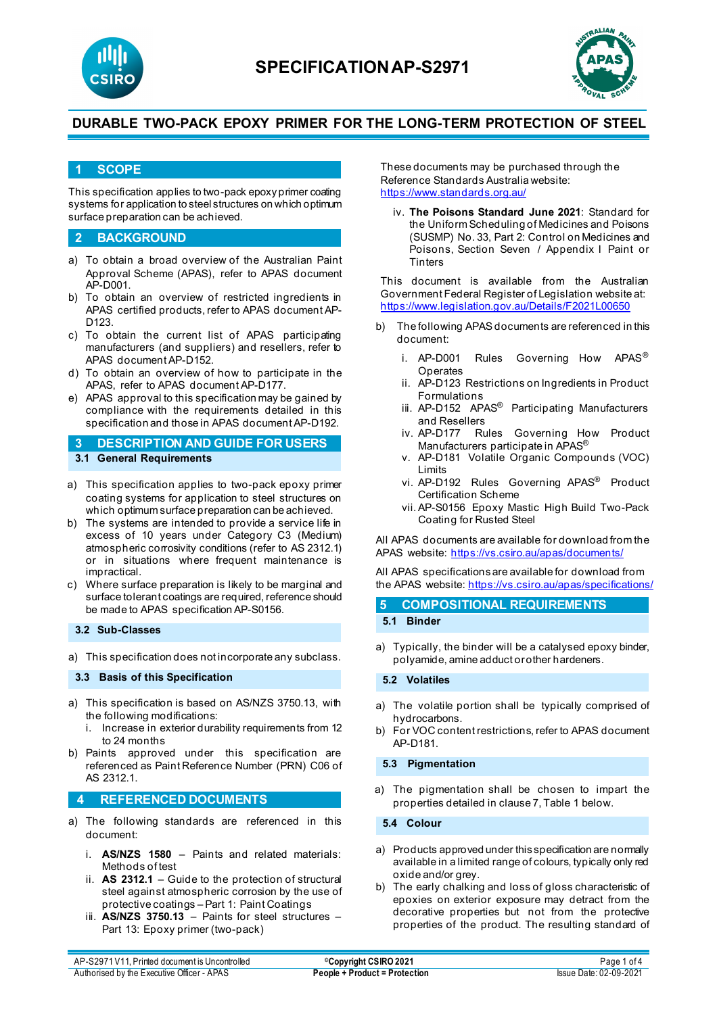



### **1 SCOPE**

This specification applies to two-pack epoxy primer coating systems for application to steel structures on which optimum surface preparation can be achieved.

### **2 BACKGROUND**

- a) To obtain a broad overview of the Australian Paint Approval Scheme (APAS), refer to APAS document AP-D001.
- b) To obtain an overview of restricted ingredients in APAS certified products, refer to APAS document AP-D123.
- c) To obtain the current list of APAS participating manufacturers (and suppliers) and resellers, refer to APAS document AP-D152.
- d) To obtain an overview of how to participate in the APAS, refer to APAS document AP-D177.
- e) APAS approval to this specification may be gained by compliance with the requirements detailed in this specification and those in APAS document AP-D192.

**3 DESCRIPTION AND GUIDE FOR USERS 3.1 General Requirements**

- a) This specification applies to two-pack epoxy primer coating systems for application to steel structures on which optimum surface preparation can be achieved.
- b) The systems are intended to provide a service life in excess of 10 years under Category C3 (Medium) atmospheric corrosivity conditions (refer to AS 2312.1) or in situations where frequent maintenance is impractical.
- c) Where surface preparation is likely to be marginal and surface tolerant coatings are required, reference should be made to APAS specification AP-S0156.

**3.2 Sub-Classes**

a) This specification does not incorporate any subclass.

**3.3 Basis of this Specification**

- a) This specification is based on AS/NZS 3750.13, with the following modifications:
	- i. Increase in exterior durability requirements from 12 to 24 months
- b) Paints approved under this specification are referenced as Paint Reference Number (PRN) C06 of AS 2312.1.

### **4 REFERENCED DOCUMENTS**

- a) The following standards are referenced in this document:
	- i. **AS/NZS 1580** Paints and related materials: Methods of test
	- ii. **AS 2312.1** Guide to the protection of structural steel against atmospheric corrosion by the use of protective coatings – Part 1: Paint Coatings
	- iii. **AS/NZS 3750.13** Paints for steel structures Part 13: Epoxy primer (two-pack)

These documents may be purchased through the Reference Standards Australia website: <https://www.standards.org.au/>

iv. **The Poisons Standard June 2021**: Standard for the Uniform Scheduling of Medicines and Poisons (SUSMP) No. 33, Part 2: Control on Medicines and Poisons, Section Seven / Appendix I Paint or **Tinters** 

This document is available from the Australian Government Federal Register of Legislation website at: <https://www.legislation.gov.au/Details/F2021L00650>

- b) The following APAS documents are referenced in this document:
	- i. AP-D001 Rules Governing How APAS® **Operates**
	- ii. AP-D123 Restrictions on Ingredients in Product Formulations
	- iii. AP-D152 APAS<sup>®</sup> Participating Manufacturers and Resellers
	- iv. AP-D177 Rules Governing How Product Manufacturers participate in APAS®
	- v. AP-D181 Volatile Organic Compounds (VOC) Limits
	- vi. AP-D192 Rules Governing APAS® Product Certification Scheme
	- vii. AP-S0156 Epoxy Mastic High Build Two-Pack Coating for Rusted Steel

All APAS documents are available for download from the APAS website: <https://vs.csiro.au/apas/documents/>

All APAS specificationsare available for download from the APAS website: <https://vs.csiro.au/apas/specifications/>

| 5 COMPOSITIONAL REQUIREMENTS |
|------------------------------|
| 5.1 Binder                   |

a) Typically, the binder will be a catalysed epoxy binder, polyamide, amine adduct or other hardeners.

**5.2 Volatiles**

- a) The volatile portion shall be typically comprised of hydrocarbons.
- b) For VOC content restrictions, refer to APAS document AP-D181.

#### **5.3 Pigmentation**

a) The pigmentation shall be chosen to impart the properties detailed in clause 7, Table 1 below.

**5.4 Colour**

- a) Products approved under this specification are normally available in a limited range of colours, typically only red oxide and/or grey.
- b) The early chalking and loss of gloss characteristic of epoxies on exterior exposure may detract from the decorative properties but not from the protective properties of the product. The resulting standard of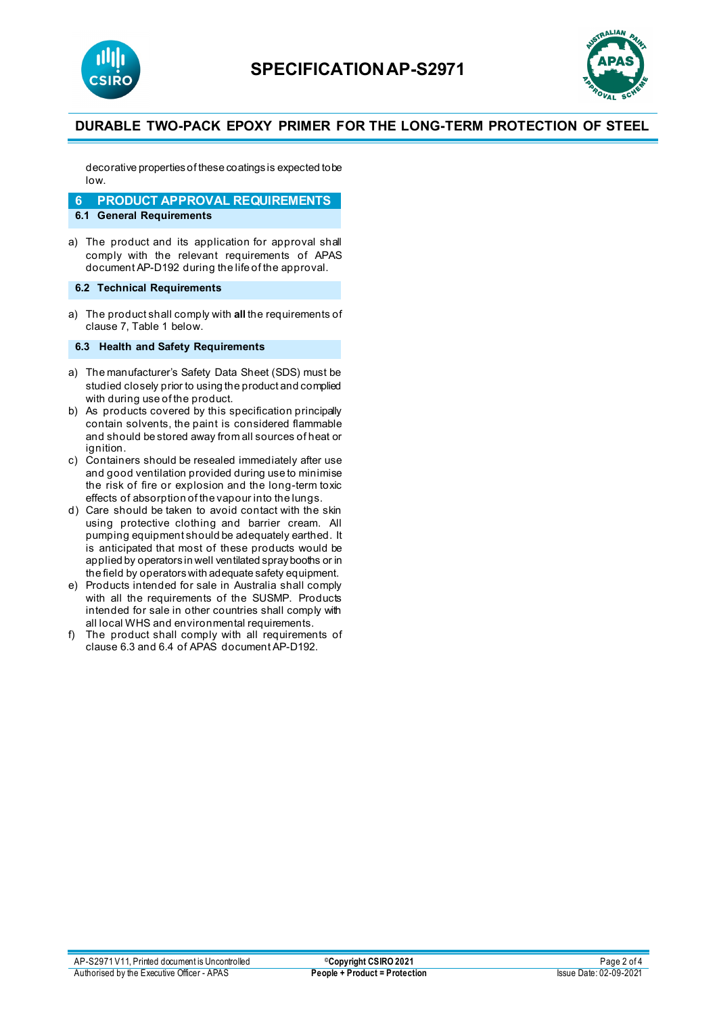



decorative properties of these coatings is expected to be low.

**6 PRODUCT APPROVAL REQUIREMENTS**

### **6.1 General Requirements**

a) The product and its application for approval shall comply with the relevant requirements of APAS document AP-D192 during the life of the approval.

### **6.2 Technical Requirements**

a) The product shall comply with **all** the requirements of clause 7, Table 1 below.

#### **6.3 Health and Safety Requirements**

- a) The manufacturer's Safety Data Sheet (SDS) must be studied closely prior to using the product and complied with during use of the product.
- b) As products covered by this specification principally contain solvents, the paint is considered flammable and should be stored away from all sources of heat or ignition.
- c) Containers should be resealed immediately after use and good ventilation provided during use to minimise the risk of fire or explosion and the long-term toxic effects of absorption of the vapour into the lungs.
- d) Care should be taken to avoid contact with the skin using protective clothing and barrier cream. All pumping equipment should be adequately earthed. It is anticipated that most of these products would be applied by operators in well ventilated spray booths or in the field by operators with adequate safety equipment.
- e) Products intended for sale in Australia shall comply with all the requirements of the SUSMP. Products intended for sale in other countries shall comply with all local WHS and environmental requirements.
- f) The product shall comply with all requirements of clause 6.3 and 6.4 of APAS document AP-D192.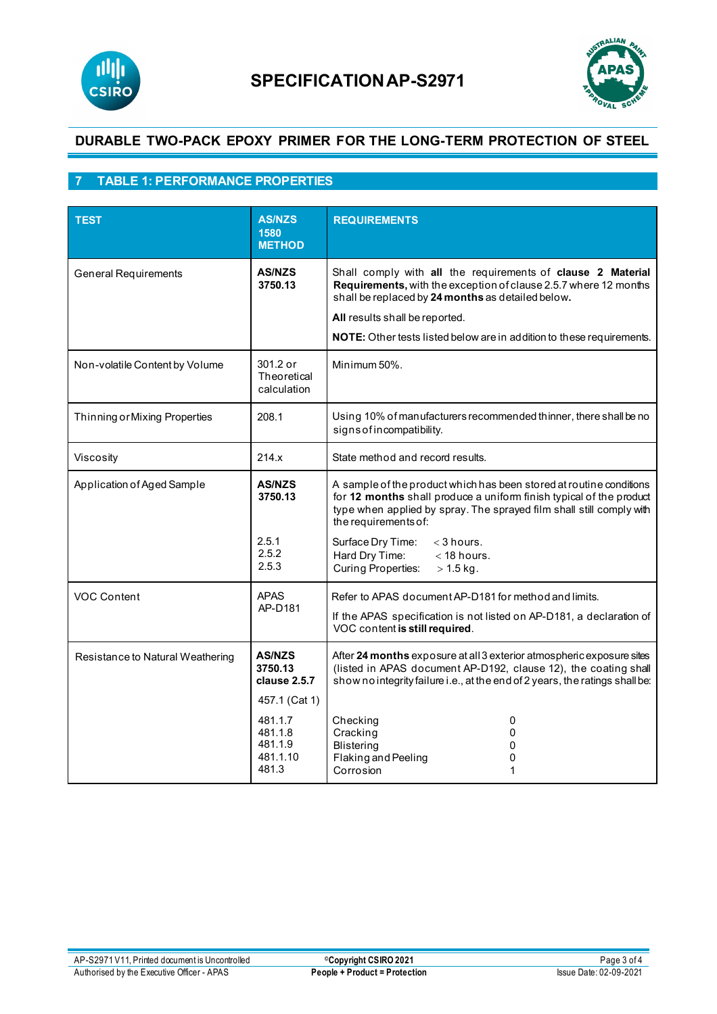



# **7 TABLE 1: PERFORMANCE PROPERTIES**

| <b>TEST</b>                      | <b>AS/NZS</b><br>1580<br><b>METHOD</b>                    | <b>REQUIREMENTS</b>                                                                                                                                                                                                                        |
|----------------------------------|-----------------------------------------------------------|--------------------------------------------------------------------------------------------------------------------------------------------------------------------------------------------------------------------------------------------|
| <b>General Requirements</b>      | <b>AS/NZS</b><br>3750.13                                  | Shall comply with all the requirements of clause 2 Material<br>Requirements, with the exception of clause 2.5.7 where 12 months<br>shall be replaced by 24 months as detailed below.<br>All results shall be reported.                     |
|                                  |                                                           | NOTE: Other tests listed below are in addition to these requirements.                                                                                                                                                                      |
| Non-volatile Content by Volume   | 301.2 or<br>Theoretical<br>calculation                    | Minimum 50%.                                                                                                                                                                                                                               |
| Thinning or Mixing Properties    | 208.1                                                     | Using 10% of manufacturers recommended thinner, there shall be no<br>signs of incompatibility.                                                                                                                                             |
| Viscosity                        | 214.x                                                     | State method and record results.                                                                                                                                                                                                           |
| Application of Aged Sample       | <b>AS/NZS</b><br>3750.13                                  | A sample of the product which has been stored at routine conditions<br>for 12 months shall produce a uniform finish typical of the product<br>type when applied by spray. The sprayed film shall still comply with<br>the requirements of: |
|                                  | 2.5.1<br>2.5.2<br>2.5.3                                   | Surface Dry Time:<br>$<$ 3 hours.<br>$<$ 18 hours.<br>Hard Dry Time:<br>Curing Properties:<br>$> 1.5$ kg.                                                                                                                                  |
| <b>VOC Content</b>               | <b>APAS</b><br>AP-D181                                    | Refer to APAS document AP-D181 for method and limits.<br>If the APAS specification is not listed on AP-D181, a declaration of<br>VOC content is still required.                                                                            |
| Resistance to Natural Weathering | <b>AS/NZS</b><br>3750.13<br>clause 2.5.7<br>457.1 (Cat 1) | After 24 months exposure at all 3 exterior atmospheric exposure sites<br>(listed in APAS document AP-D192, clause 12), the coating shall<br>show no integrity failure i.e., at the end of 2 years, the ratings shall be:                   |
|                                  | 481.1.7<br>481.1.8<br>481.1.9<br>481.1.10<br>481.3        | Checking<br>0<br>Cracking<br>0<br><b>Blistering</b><br>0<br>Flaking and Peeling<br>0<br>Corrosion<br>1                                                                                                                                     |